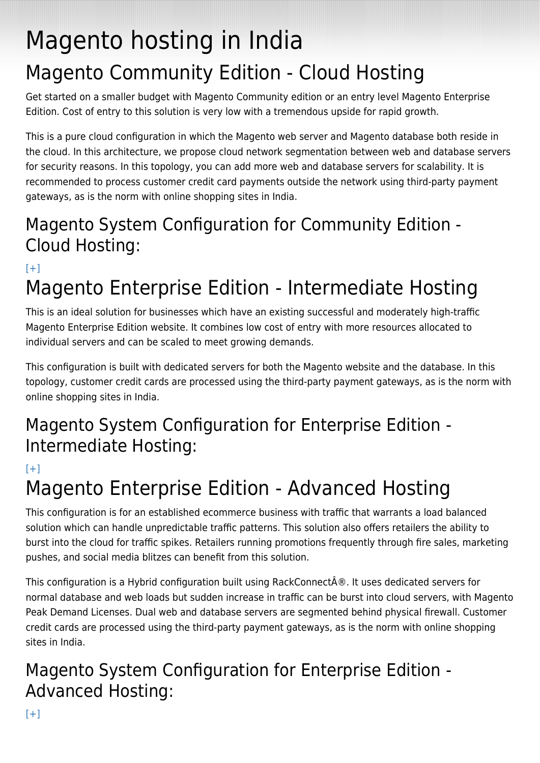# Magento hosting in India Magento Community Edition - Cloud Hosting

Get started on a smaller budget with Magento Community edition or an entry level Magento Enterprise Edition. Cost of entry to this solution is very low with a tremendous upside for rapid growth.

This is a pure cloud configuration in which the Magento web server and Magento database both reside in the cloud. In this architecture, we propose cloud network segmentation between web and database servers for security reasons. In this topology, you can add more web and database servers for scalability. It is recommended to process customer credit card payments outside the network using third-party payment gateways, as is the norm with online shopping sites in India.

#### Magento System Configuration for Community Edition - Cloud Hosting:

 $[+]$ 

### Magento Enterprise Edition - Intermediate Hosting

This is an ideal solution for businesses which have an existing successful and moderately high-traffic Magento Enterprise Edition website. It combines low cost of entry with more resources allocated to individual servers and can be scaled to meet growing demands.

This configuration is built with dedicated servers for both the Magento website and the database. In this topology, customer credit cards are processed using the third-party payment gateways, as is the norm with online shopping sites in India.

#### Magento System Configuration for Enterprise Edition - Intermediate Hosting:

 $[+]$ 

## Magento Enterprise Edition - Advanced Hosting

This configuration is for an established ecommerce business with traffic that warrants a load balanced solution which can handle unpredictable traffic patterns. This solution also offers retailers the ability to burst into the cloud for traffic spikes. Retailers running promotions frequently through fire sales, marketing pushes, and social media blitzes can benefit from this solution.

This configuration is a Hybrid configuration built using RackConnect $\hat{A} \circledR$ . It uses dedicated servers for normal database and web loads but sudden increase in traffic can be burst into cloud servers, with Magento Peak Demand Licenses. Dual web and database servers are segmented behind physical firewall. Customer credit cards are processed using the third-party payment gateways, as is the norm with online shopping sites in India.

### Magento System Configuration for Enterprise Edition - Advanced Hosting: